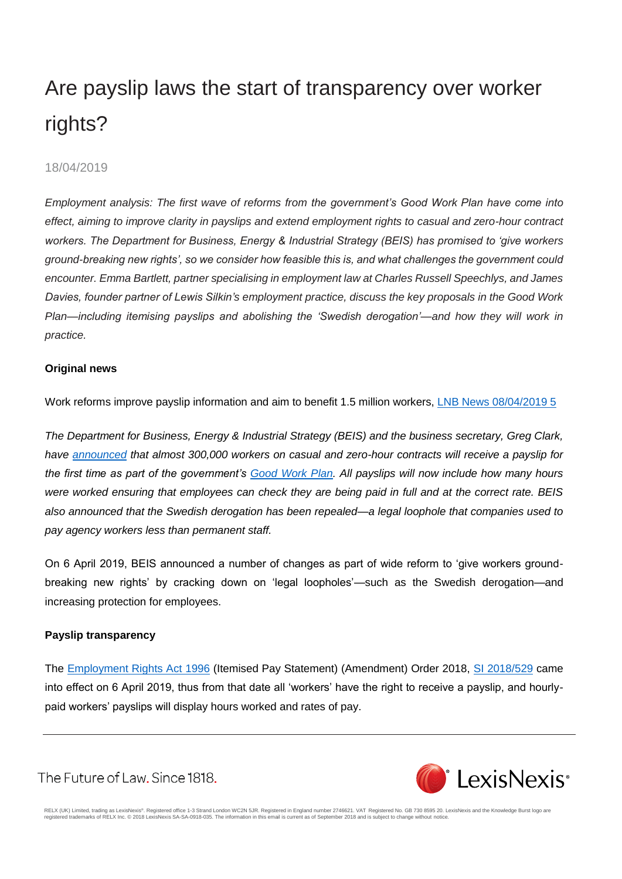# Are payslip laws the start of transparency over worker rights?

# 18/04/2019

*Employment analysis: The first wave of reforms from the government's Good Work Plan have come into effect, aiming to improve clarity in payslips and extend employment rights to casual and zero-hour contract workers. The Department for Business, Energy & Industrial Strategy (BEIS) has promised to 'give workers ground-breaking new rights', so we consider how feasible this is, and what challenges the government could encounter. Emma Bartlett, partner specialising in employment law at Charles Russell Speechlys, and James Davies, founder partner of Lewis Silkin's employment practice, discuss the key proposals in the Good Work Plan—including itemising payslips and abolishing the 'Swedish derogation'—and how they will work in practice.*

# **Original news**

Work reforms improve payslip information and aim to benefit 1.5 million workers, [LNB News 08/04/2019 5](https://www.lexisnexis.com/uk/legal/search/enhRunRemoteLink.do?ersKey=23_T28661816506&backKey=20_T28661816525&homeCsi=281953&A=0.9662677216394869&urlEnc=ISO-8859-1&&remotekey1=DIGEST-CITATION(LNB%20News%2008/04/2019%205)&remotekey2=All%20Subscribed%20Current%20Awareness%20Sources&dpsi=04M5&cmd=f:exp&service=QUERY&origdpsi=04M5)

*The Department for Business, Energy & Industrial Strategy (BEIS) and the business secretary, Greg Clark, have [announced](http://www.gov.uk/government/news/new-laws-give-300000-workers-a-payslip-for-the-first-time) that almost 300,000 workers on casual and zero-hour contracts will receive a payslip for the first time as part of the government's [Good Work Plan.](http://assets.publishing.service.gov.uk/government/uploads/system/uploads/attachment_data/file/766167/good-work-plan-command-paper.pdf) All payslips will now include how many hours were worked ensuring that employees can check they are being paid in full and at the correct rate. BEIS also announced that the Swedish derogation has been repealed—a legal loophole that companies used to pay agency workers less than permanent staff.*

On 6 April 2019, BEIS announced a number of changes as part of wide reform to 'give workers groundbreaking new rights' by cracking down on 'legal loopholes'—such as the Swedish derogation—and increasing protection for employees.

# **Payslip transparency**

The [Employment Rights Act 1996](https://www.lexisnexis.com/uk/legal/search/enhRunRemoteLink.do?linkInfo=F%23GB%23UK_ACTS%23num%251996_18a_Title%25&A=0.5790941591123467&backKey=20_T28661816525&service=citation&ersKey=23_T28661816506&langcountry=GB) (Itemised Pay Statement) (Amendment) Order 2018, [SI 2018/529](https://www.lexisnexis.com/uk/legal/search/enhRunRemoteLink.do?linkInfo=F%23GB%23UK_SI%23num%252018_529s_Title%25&A=0.4397146936013461&backKey=20_T28661816525&service=citation&ersKey=23_T28661816506&langcountry=GB) came into effect on 6 April 2019, thus from that date all 'workers' have the right to receive a payslip, and hourlypaid workers' payslips will display hours worked and rates of pay.

The Future of Law. Since 1818.

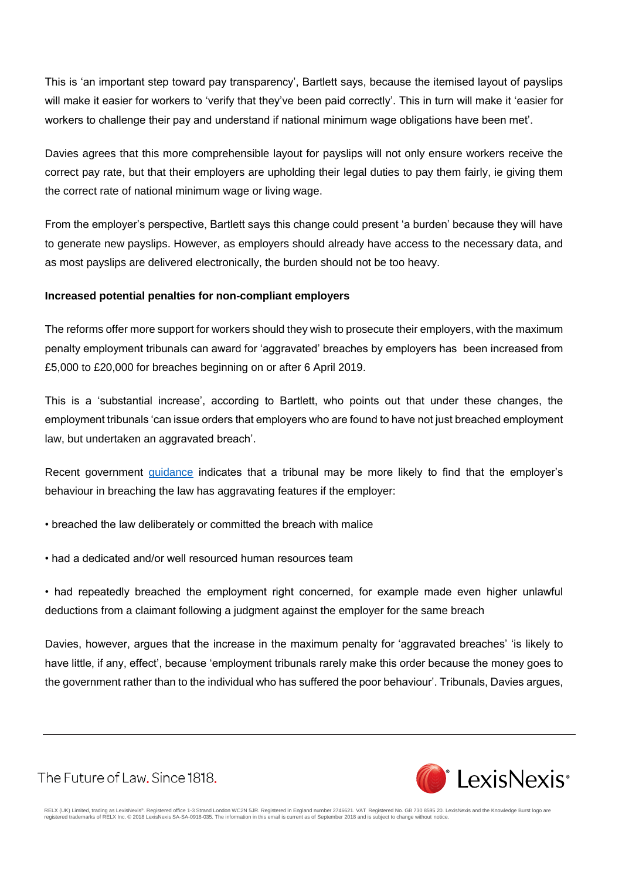This is 'an important step toward pay transparency', Bartlett says, because the itemised layout of payslips will make it easier for workers to 'verify that they've been paid correctly'. This in turn will make it 'easier for workers to challenge their pay and understand if national minimum wage obligations have been met'.

Davies agrees that this more comprehensible layout for payslips will not only ensure workers receive the correct pay rate, but that their employers are upholding their legal duties to pay them fairly, ie giving them the correct rate of national minimum wage or living wage.

From the employer's perspective, Bartlett says this change could present 'a burden' because they will have to generate new payslips. However, as employers should already have access to the necessary data, and as most payslips are delivered electronically, the burden should not be too heavy.

# **Increased potential penalties for non-compliant employers**

The reforms offer more support for workers should they wish to prosecute their employers, with the maximum penalty employment tribunals can award for 'aggravated' breaches by employers has been increased from £5,000 to £20,000 for breaches beginning on or after 6 April 2019.

This is a 'substantial increase', according to Bartlett, who points out that under these changes, the employment tribunals 'can issue orders that employers who are found to have not just breached employment law, but undertaken an aggravated breach'.

Recent government *guidance* indicates that a tribunal may be more likely to find that the employer's behaviour in breaching the law has aggravating features if the employer:

• breached the law deliberately or committed the breach with malice

• had a dedicated and/or well resourced human resources team

• had repeatedly breached the employment right concerned, for example made even higher unlawful deductions from a claimant following a judgment against the employer for the same breach

Davies, however, argues that the increase in the maximum penalty for 'aggravated breaches' 'is likely to have little, if any, effect', because 'employment tribunals rarely make this order because the money goes to the government rather than to the individual who has suffered the poor behaviour'. Tribunals, Davies argues,

The Future of Law. Since 1818.

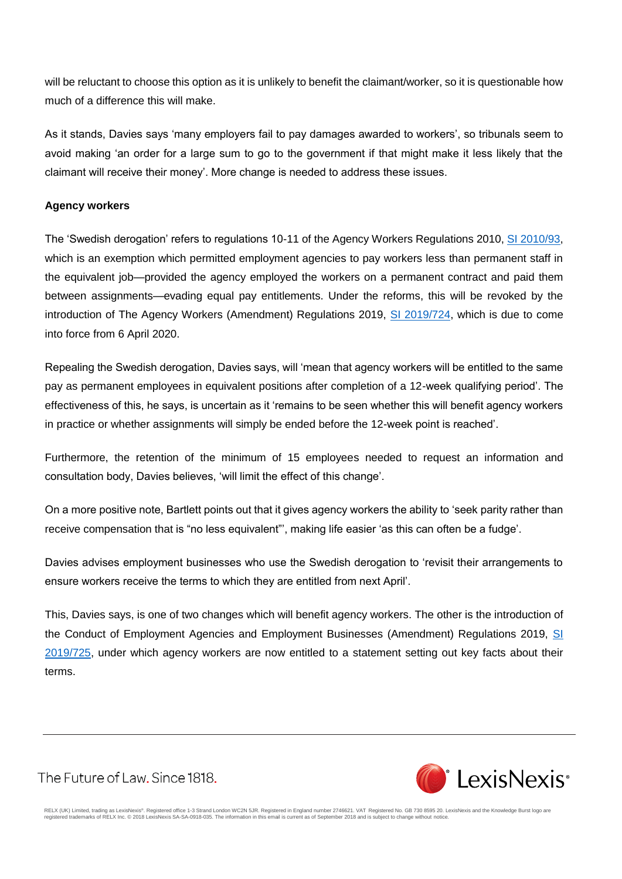will be reluctant to choose this option as it is unlikely to benefit the claimant/worker, so it is questionable how much of a difference this will make.

As it stands, Davies says 'many employers fail to pay damages awarded to workers', so tribunals seem to avoid making 'an order for a large sum to go to the government if that might make it less likely that the claimant will receive their money'. More change is needed to address these issues.

### **Agency workers**

The 'Swedish derogation' refers to regulations 10-11 of the Agency Workers Regulations 2010, [SI 2010/93,](https://www.lexisnexis.com/uk/legal/search/enhRunRemoteLink.do?linkInfo=F%23GB%23UK_SI%23num%252010_93s_Title%25&A=0.7252259993372285&backKey=20_T28661816525&service=citation&ersKey=23_T28661816506&langcountry=GB) which is an exemption which permitted employment agencies to pay workers less than permanent staff in the equivalent job—provided the agency employed the workers on a permanent contract and paid them between assignments—evading equal pay entitlements. Under the reforms, this will be revoked by the introduction of The Agency Workers (Amendment) Regulations 2019, [SI 2019/724,](https://www.lexisnexis.com/uk/legal/search/enhRunRemoteLink.do?linkInfo=F%23GB%23UK_SI%23num%252019_724s_Title%25&A=0.5064088619710982&backKey=20_T28661816525&service=citation&ersKey=23_T28661816506&langcountry=GB) which is due to come into force from 6 April 2020.

Repealing the Swedish derogation, Davies says, will 'mean that agency workers will be entitled to the same pay as permanent employees in equivalent positions after completion of a 12-week qualifying period'. The effectiveness of this, he says, is uncertain as it 'remains to be seen whether this will benefit agency workers in practice or whether assignments will simply be ended before the 12-week point is reached'.

Furthermore, the retention of the minimum of 15 employees needed to request an information and consultation body, Davies believes, 'will limit the effect of this change'.

On a more positive note, Bartlett points out that it gives agency workers the ability to 'seek parity rather than receive compensation that is "no less equivalent"', making life easier 'as this can often be a fudge'.

Davies advises employment businesses who use the Swedish derogation to 'revisit their arrangements to ensure workers receive the terms to which they are entitled from next April'.

This, Davies says, is one of two changes which will benefit agency workers. The other is the introduction of the Conduct of Employment Agencies and Employment Businesses (Amendment) Regulations 2019, [SI](https://www.lexisnexis.com/uk/legal/search/enhRunRemoteLink.do?linkInfo=F%23GB%23UK_SI%23num%252019_725s_Title%25&A=0.6377766068181873&backKey=20_T28661816525&service=citation&ersKey=23_T28661816506&langcountry=GB)  [2019/725,](https://www.lexisnexis.com/uk/legal/search/enhRunRemoteLink.do?linkInfo=F%23GB%23UK_SI%23num%252019_725s_Title%25&A=0.6377766068181873&backKey=20_T28661816525&service=citation&ersKey=23_T28661816506&langcountry=GB) under which agency workers are now entitled to a statement setting out key facts about their terms.

The Future of Law. Since 1818.

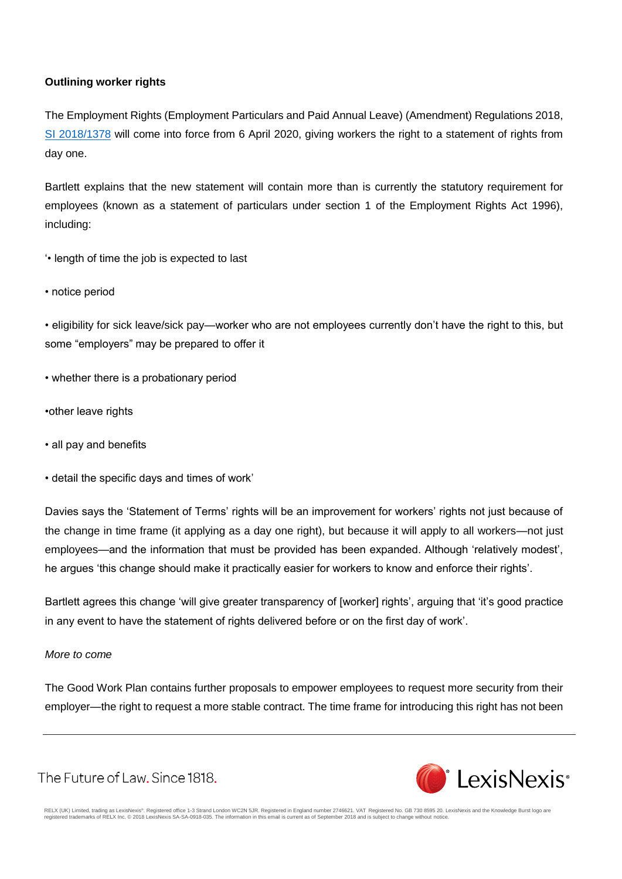## **Outlining worker rights**

The Employment Rights (Employment Particulars and Paid Annual Leave) (Amendment) Regulations 2018, [SI 2018/1378](https://www.lexisnexis.com/uk/legal/search/enhRunRemoteLink.do?linkInfo=F%23GB%23UK_SI%23num%252018_1378s_Title%25&A=0.45747978724051963&backKey=20_T28661816525&service=citation&ersKey=23_T28661816506&langcountry=GB) will come into force from 6 April 2020, giving workers the right to a statement of rights from day one.

Bartlett explains that the new statement will contain more than is currently the statutory requirement for employees (known as a statement of particulars under section 1 of the Employment Rights Act 1996), including:

- '• length of time the job is expected to last
- notice period

• eligibility for sick leave/sick pay—worker who are not employees currently don't have the right to this, but some "employers" may be prepared to offer it

- whether there is a probationary period
- •other leave rights
- all pay and benefits
- detail the specific days and times of work'

Davies says the 'Statement of Terms' rights will be an improvement for workers' rights not just because of the change in time frame (it applying as a day one right), but because it will apply to all workers—not just employees—and the information that must be provided has been expanded. Although 'relatively modest', he argues 'this change should make it practically easier for workers to know and enforce their rights'.

Bartlett agrees this change 'will give greater transparency of [worker] rights', arguing that 'it's good practice in any event to have the statement of rights delivered before or on the first day of work'.

#### *More to come*

The Good Work Plan contains further proposals to empower employees to request more security from their employer—the right to request a more stable contract. The time frame for introducing this right has not been

The Future of Law, Since 1818.

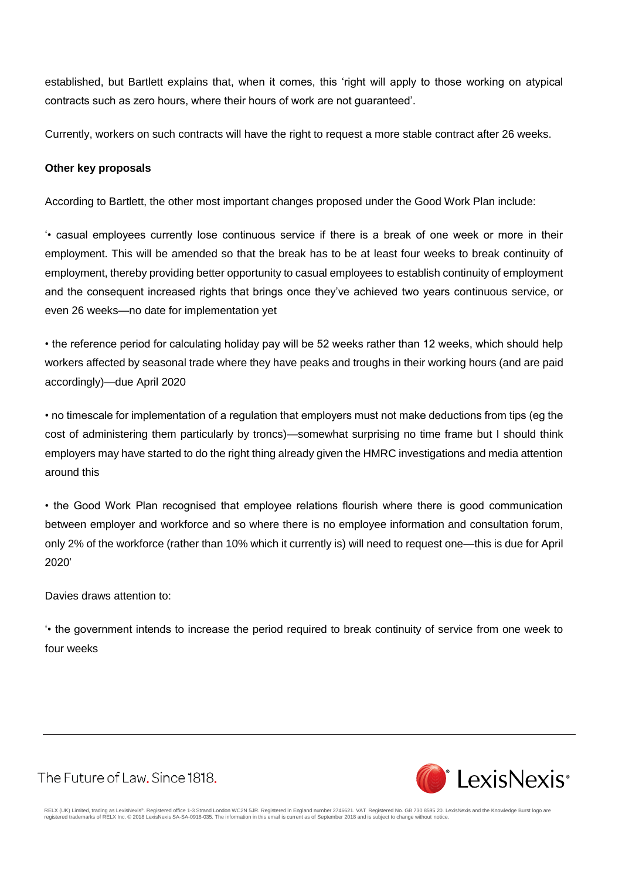established, but Bartlett explains that, when it comes, this 'right will apply to those working on atypical contracts such as zero hours, where their hours of work are not guaranteed'.

Currently, workers on such contracts will have the right to request a more stable contract after 26 weeks.

#### **Other key proposals**

According to Bartlett, the other most important changes proposed under the Good Work Plan include:

'• casual employees currently lose continuous service if there is a break of one week or more in their employment. This will be amended so that the break has to be at least four weeks to break continuity of employment, thereby providing better opportunity to casual employees to establish continuity of employment and the consequent increased rights that brings once they've achieved two years continuous service, or even 26 weeks—no date for implementation yet

• the reference period for calculating holiday pay will be 52 weeks rather than 12 weeks, which should help workers affected by seasonal trade where they have peaks and troughs in their working hours (and are paid accordingly)—due April 2020

• no timescale for implementation of a regulation that employers must not make deductions from tips (eg the cost of administering them particularly by troncs)—somewhat surprising no time frame but I should think employers may have started to do the right thing already given the HMRC investigations and media attention around this

• the Good Work Plan recognised that employee relations flourish where there is good communication between employer and workforce and so where there is no employee information and consultation forum, only 2% of the workforce (rather than 10% which it currently is) will need to request one—this is due for April 2020'

Davies draws attention to:

'• the government intends to increase the period required to break continuity of service from one week to four weeks

The Future of Law. Since 1818.

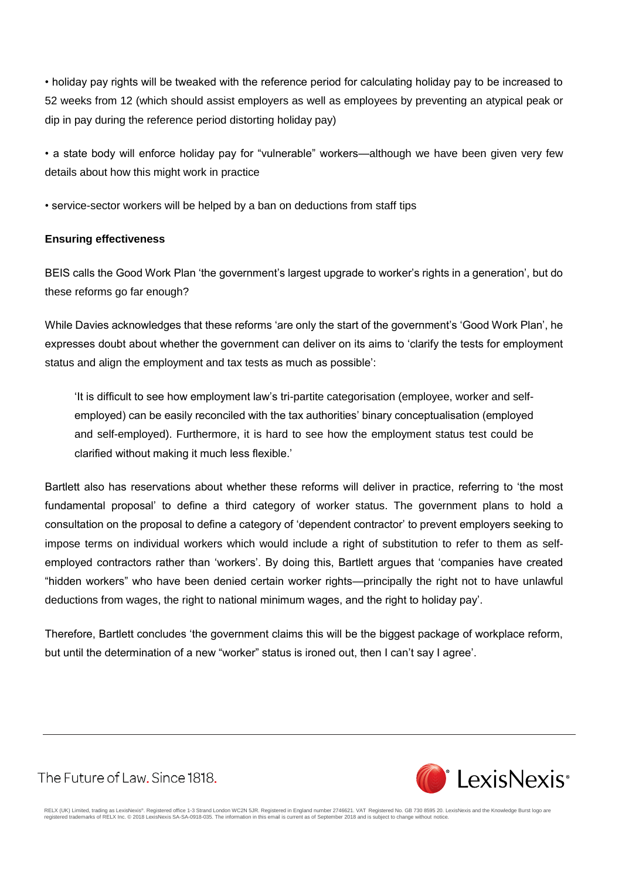• holiday pay rights will be tweaked with the reference period for calculating holiday pay to be increased to 52 weeks from 12 (which should assist employers as well as employees by preventing an atypical peak or dip in pay during the reference period distorting holiday pay)

• a state body will enforce holiday pay for "vulnerable" workers—although we have been given very few details about how this might work in practice

• service-sector workers will be helped by a ban on deductions from staff tips

### **Ensuring effectiveness**

BEIS calls the Good Work Plan 'the government's largest upgrade to worker's rights in a generation', but do these reforms go far enough?

While Davies acknowledges that these reforms 'are only the start of the government's 'Good Work Plan', he expresses doubt about whether the government can deliver on its aims to 'clarify the tests for employment status and align the employment and tax tests as much as possible':

'It is difficult to see how employment law's tri-partite categorisation (employee, worker and selfemployed) can be easily reconciled with the tax authorities' binary conceptualisation (employed and self-employed). Furthermore, it is hard to see how the employment status test could be clarified without making it much less flexible.'

Bartlett also has reservations about whether these reforms will deliver in practice, referring to 'the most fundamental proposal' to define a third category of worker status. The government plans to hold a consultation on the proposal to define a category of 'dependent contractor' to prevent employers seeking to impose terms on individual workers which would include a right of substitution to refer to them as selfemployed contractors rather than 'workers'. By doing this, Bartlett argues that 'companies have created "hidden workers" who have been denied certain worker rights—principally the right not to have unlawful deductions from wages, the right to national minimum wages, and the right to holiday pay'.

Therefore, Bartlett concludes 'the government claims this will be the biggest package of workplace reform, but until the determination of a new "worker" status is ironed out, then I can't say I agree'.

The Future of Law. Since 1818.